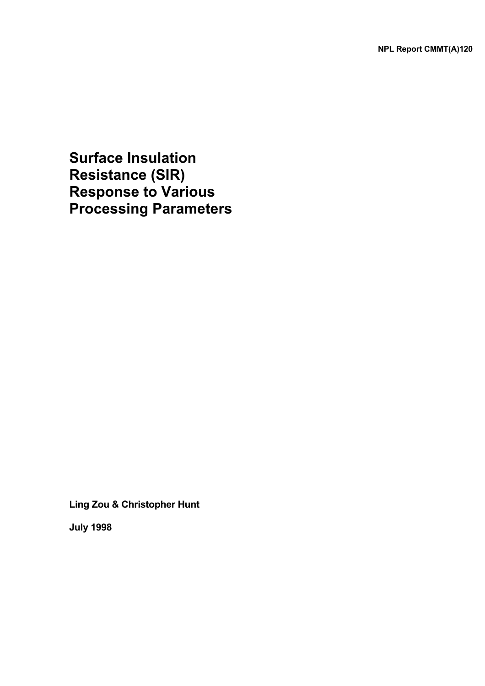**NPL Report CMMT(A)120**

**Surface Insulation Resistance (SIR) Response to Various Processing Parameters** 

**Ling Zou & Christopher Hunt**

**July 1998**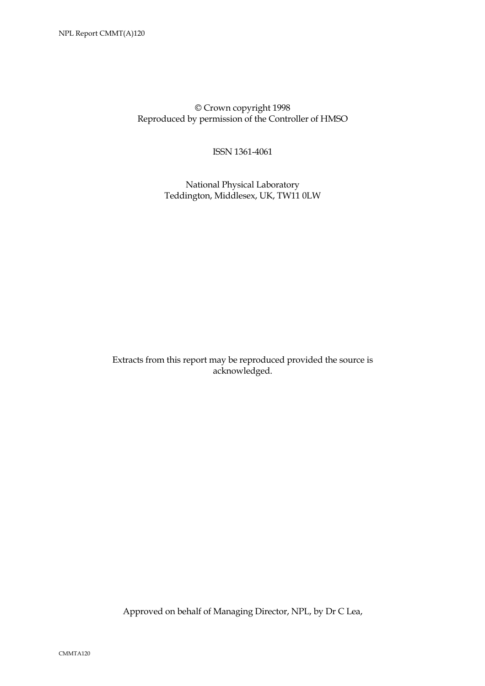© Crown copyright 1998 Reproduced by permission of the Controller of HMSO

ISSN 1361-4061

 National Physical Laboratory Teddington, Middlesex, UK, TW11 0LW

Extracts from this report may be reproduced provided the source is acknowledged.

Approved on behalf of Managing Director, NPL, by Dr C Lea,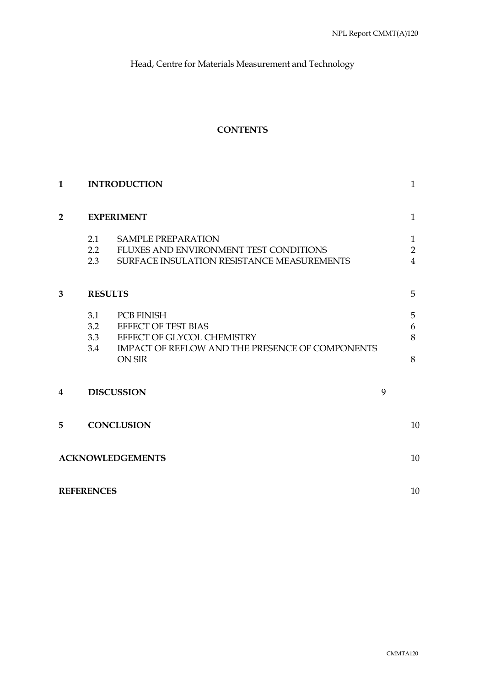Head, Centre for Materials Measurement and Technology

## **CONTENTS**

| $\mathbf{1}$   | <b>INTRODUCTION</b>         |                                                                                                                                            |   |                                     |
|----------------|-----------------------------|--------------------------------------------------------------------------------------------------------------------------------------------|---|-------------------------------------|
| $\overline{2}$ |                             | <b>EXPERIMENT</b>                                                                                                                          |   | $\mathbf{1}$                        |
|                | 2.1<br>$2.2^{\circ}$<br>2.3 | <b>SAMPLE PREPARATION</b><br>FLUXES AND ENVIRONMENT TEST CONDITIONS<br>SURFACE INSULATION RESISTANCE MEASUREMENTS                          |   | $\mathbf{1}$<br>$\overline{2}$<br>4 |
| 3              |                             | <b>RESULTS</b>                                                                                                                             |   | 5                                   |
|                | 3.1<br>3.2<br>3.3<br>3.4    | <b>PCB FINISH</b><br><b>EFFECT OF TEST BIAS</b><br>EFFECT OF GLYCOL CHEMISTRY<br>IMPACT OF REFLOW AND THE PRESENCE OF COMPONENTS<br>ON SIR |   | 5<br>6<br>8<br>8                    |
| 4              |                             | <b>DISCUSSION</b>                                                                                                                          | 9 |                                     |
| 5              |                             | <b>CONCLUSION</b>                                                                                                                          |   | 10                                  |
|                |                             | <b>ACKNOWLEDGEMENTS</b>                                                                                                                    |   | 10                                  |
|                | <b>REFERENCES</b>           |                                                                                                                                            |   | 10                                  |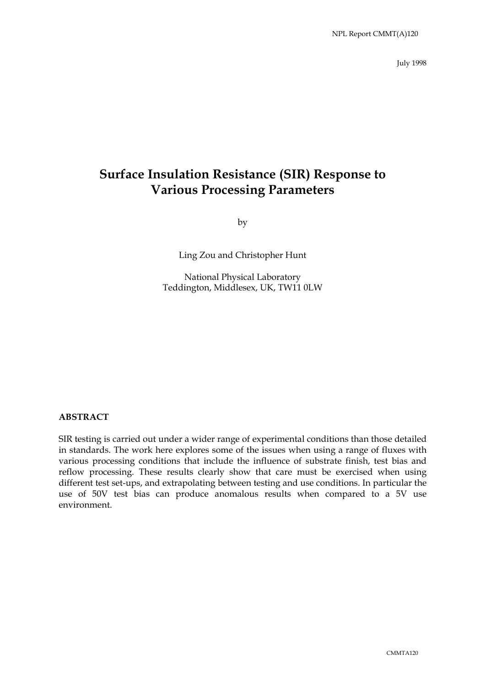July 1998

# **Surface Insulation Resistance (SIR) Response to Various Processing Parameters**

by

Ling Zou and Christopher Hunt

National Physical Laboratory Teddington, Middlesex, UK, TW11 0LW

#### **ABSTRACT**

SIR testing is carried out under a wider range of experimental conditions than those detailed in standards. The work here explores some of the issues when using a range of fluxes with various processing conditions that include the influence of substrate finish, test bias and reflow processing. These results clearly show that care must be exercised when using different test set-ups, and extrapolating between testing and use conditions. In particular the use of 50V test bias can produce anomalous results when compared to a 5V use environment.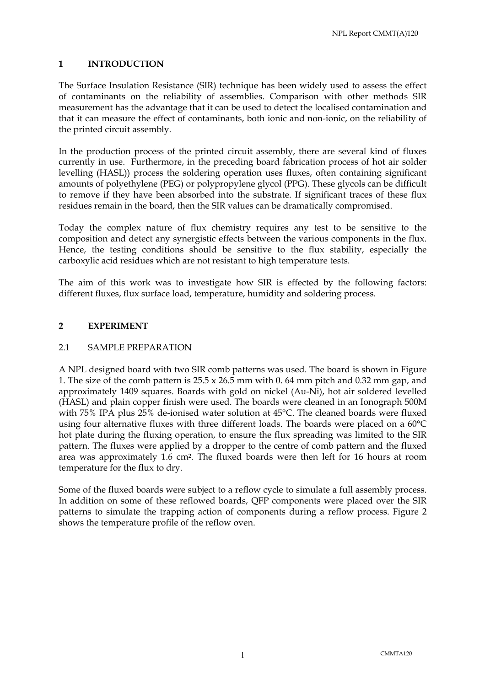## **1 INTRODUCTION**

The Surface Insulation Resistance (SIR) technique has been widely used to assess the effect of contaminants on the reliability of assemblies. Comparison with other methods SIR measurement has the advantage that it can be used to detect the localised contamination and that it can measure the effect of contaminants, both ionic and non-ionic, on the reliability of the printed circuit assembly.

In the production process of the printed circuit assembly, there are several kind of fluxes currently in use. Furthermore, in the preceding board fabrication process of hot air solder levelling (HASL)) process the soldering operation uses fluxes, often containing significant amounts of polyethylene (PEG) or polypropylene glycol (PPG). These glycols can be difficult to remove if they have been absorbed into the substrate. If significant traces of these flux residues remain in the board, then the SIR values can be dramatically compromised.

Today the complex nature of flux chemistry requires any test to be sensitive to the composition and detect any synergistic effects between the various components in the flux. Hence, the testing conditions should be sensitive to the flux stability, especially the carboxylic acid residues which are not resistant to high temperature tests.

The aim of this work was to investigate how SIR is effected by the following factors: different fluxes, flux surface load, temperature, humidity and soldering process.

## **2 EXPERIMENT**

## 2.1 SAMPLE PREPARATION

A NPL designed board with two SIR comb patterns was used. The board is shown in Figure 1. The size of the comb pattern is 25.5 x 26.5 mm with 0. 64 mm pitch and 0.32 mm gap, and approximately 1409 squares. Boards with gold on nickel (Au-Ni), hot air soldered levelled (HASL) and plain copper finish were used. The boards were cleaned in an Ionograph 500M with 75% IPA plus 25% de-ionised water solution at 45°C. The cleaned boards were fluxed using four alternative fluxes with three different loads. The boards were placed on a 60°C hot plate during the fluxing operation, to ensure the flux spreading was limited to the SIR pattern. The fluxes were applied by a dropper to the centre of comb pattern and the fluxed area was approximately 1.6 cm2. The fluxed boards were then left for 16 hours at room temperature for the flux to dry.

Some of the fluxed boards were subject to a reflow cycle to simulate a full assembly process. In addition on some of these reflowed boards, QFP components were placed over the SIR patterns to simulate the trapping action of components during a reflow process. Figure 2 shows the temperature profile of the reflow oven.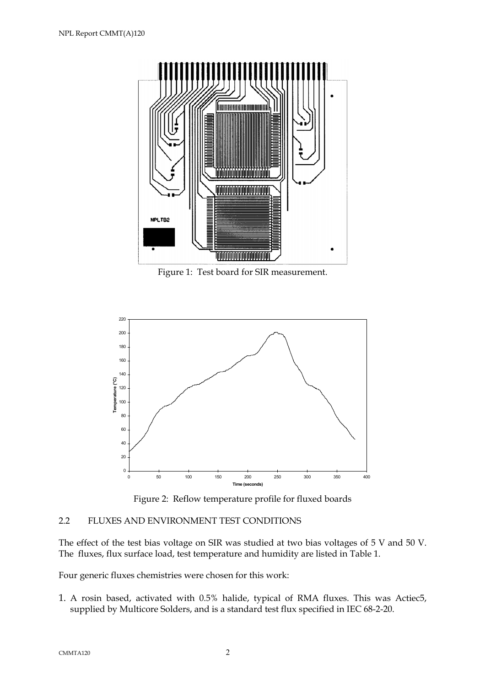

Figure 1: Test board for SIR measurement.



Figure 2: Reflow temperature profile for fluxed boards

#### 2.2 FLUXES AND ENVIRONMENT TEST CONDITIONS

The effect of the test bias voltage on SIR was studied at two bias voltages of 5 V and 50 V. The fluxes, flux surface load, test temperature and humidity are listed in Table 1.

Four generic fluxes chemistries were chosen for this work:

1. A rosin based, activated with 0.5% halide, typical of RMA fluxes. This was Actiec5, supplied by Multicore Solders, and is a standard test flux specified in IEC 68-2-20.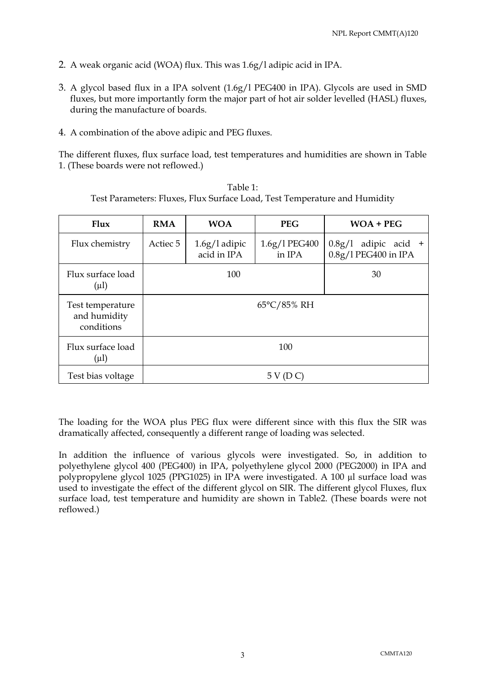- 2. A weak organic acid (WOA) flux. This was 1.6g/l adipic acid in IPA.
- 3. A glycol based flux in a IPA solvent (1.6g/l PEG400 in IPA). Glycols are used in SMD fluxes, but more importantly form the major part of hot air solder levelled (HASL) fluxes, during the manufacture of boards.
- 4. A combination of the above adipic and PEG fluxes.

The different fluxes, flux surface load, test temperatures and humidities are shown in Table 1. (These boards were not reflowed.)

| Flux                                           | <b>RMA</b>            | <b>WOA</b>                     | <b>PEG</b>              | $WOA + PEG$                                    |  |
|------------------------------------------------|-----------------------|--------------------------------|-------------------------|------------------------------------------------|--|
| Flux chemistry                                 | Actiec 5              | $1.6g/l$ adipic<br>acid in IPA | 1.6g/1 PEG400<br>in IPA | $0.8g/1$ adipic acid +<br>0.8g/1 PEG400 in IPA |  |
| Flux surface load<br>$(\mu l)$                 |                       | 100                            | 30                      |                                                |  |
| Test temperature<br>and humidity<br>conditions | $65^{\circ}$ C/85% RH |                                |                         |                                                |  |
| Flux surface load<br>$(\mu l)$                 | 100                   |                                |                         |                                                |  |
| Test bias voltage                              | 5 V (D                |                                |                         |                                                |  |

Table 1: Test Parameters: Fluxes, Flux Surface Load, Test Temperature and Humidity

The loading for the WOA plus PEG flux were different since with this flux the SIR was dramatically affected, consequently a different range of loading was selected.

In addition the influence of various glycols were investigated. So, in addition to polyethylene glycol 400 (PEG400) in IPA, polyethylene glycol 2000 (PEG2000) in IPA and polypropylene glycol 1025 (PPG1025) in IPA were investigated. A 100 µl surface load was used to investigate the effect of the different glycol on SIR. The different glycol Fluxes, flux surface load, test temperature and humidity are shown in Table2. (These boards were not reflowed.)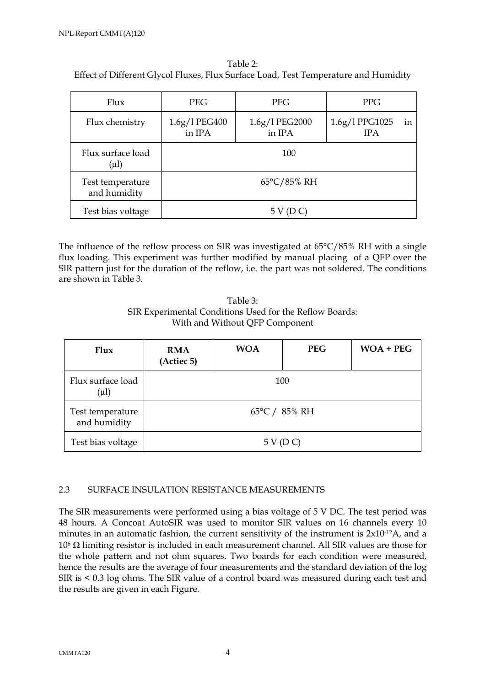| Table 2:                                                                            |
|-------------------------------------------------------------------------------------|
| Effect of Different Glycol Fluxes, Flux Surface Load, Test Temperature and Humidity |

| Flux                             | PEG                     | PEG                      | <b>PPG</b>                   |    |  |  |
|----------------------------------|-------------------------|--------------------------|------------------------------|----|--|--|
| Flux chemistry                   | 1.6g/l PEG400<br>in IPA | 1.6g/1 PEG2000<br>in IPA | 1.6g/1 PPG1025<br><b>IPA</b> | in |  |  |
| Flux surface load<br>$(\mu l)$   | 100                     |                          |                              |    |  |  |
| Test temperature<br>and humidity | $65^{\circ}$ C/85% RH   |                          |                              |    |  |  |
| Test bias voltage                | 5 V                     |                          |                              |    |  |  |

The influence of the reflow process on SIR was investigated at 65°C/85% RH with a single flux loading. This experiment was further modified by manual placing of a QFP over the SIR pattern just for the duration of the reflow, i.e. the part was not soldered. The conditions are shown in Table 3.

Table 3: SIR Experimental Conditions Used for the Reflow Boards: With and Without QFP Component

| Flux                             | <b>RMA</b><br>(Actiec 5) | <b>WOA</b> | <b>PEG</b> | $WOA + PEG$ |
|----------------------------------|--------------------------|------------|------------|-------------|
| Flux surface load<br>$(\mu l)$   | 100                      |            |            |             |
| Test temperature<br>and humidity | 65°C / 85% RH            |            |            |             |
| Test bias voltage                | 5 V (D C)                |            |            |             |

# 2.3 SURFACE INSULATION RESISTANCE MEASUREMENTS

The SIR measurements were performed using a bias voltage of 5 V DC. The test period was 48 hours. A Concoat AutoSIR was used to monitor SIR values on 16 channels every 10 minutes in an automatic fashion, the current sensitivity of the instrument is 2x10-12A, and a 106 Ω limiting resistor is included in each measurement channel. All SIR values are those for the whole pattern and not ohm squares. Two boards for each condition were measured, hence the results are the average of four measurements and the standard deviation of the log SIR is < 0.3 log ohms. The SIR value of a control board was measured during each test and the results are given in each Figure.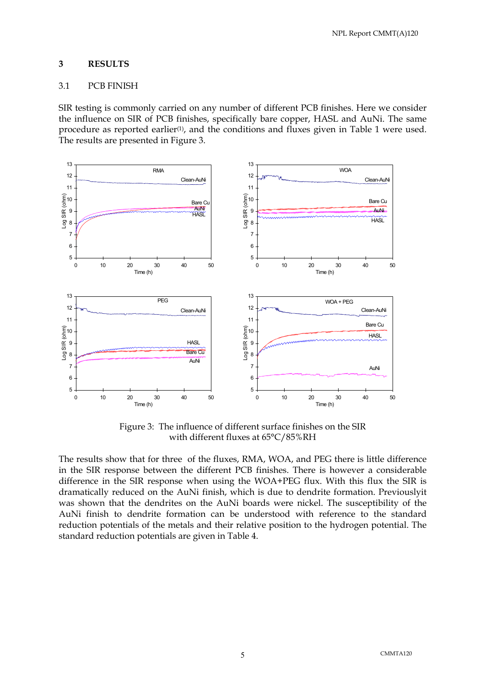### **3 RESULTS**

#### 3.1 PCB FINISH

SIR testing is commonly carried on any number of different PCB finishes. Here we consider the influence on SIR of PCB finishes, specifically bare copper, HASL and AuNi. The same procedure as reported earlier<sup>(1)</sup>, and the conditions and fluxes given in Table 1 were used. The results are presented in Figure 3.



Figure 3: The influence of different surface finishes on the SIR with different fluxes at 65°C/85%RH

The results show that for three of the fluxes, RMA, WOA, and PEG there is little difference in the SIR response between the different PCB finishes. There is however a considerable difference in the SIR response when using the WOA+PEG flux. With this flux the SIR is dramatically reduced on the AuNi finish, which is due to dendrite formation. Previouslyit was shown that the dendrites on the AuNi boards were nickel. The susceptibility of the AuNi finish to dendrite formation can be understood with reference to the standard reduction potentials of the metals and their relative position to the hydrogen potential. The standard reduction potentials are given in Table 4.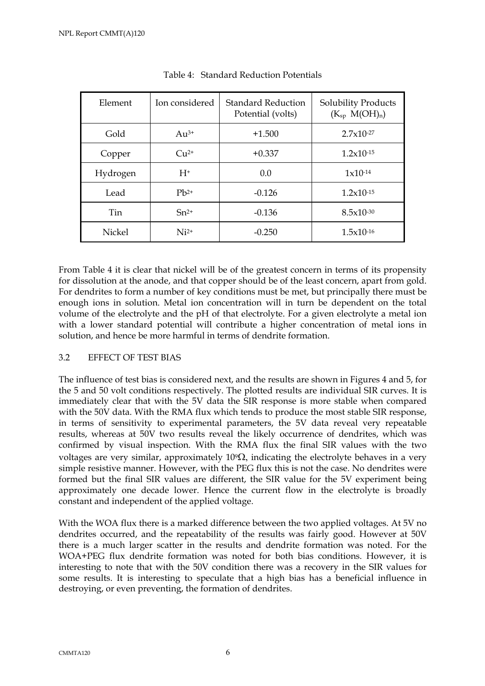| Element       | Ion considered         | <b>Standard Reduction</b><br>Potential (volts) | <b>Solubility Products</b><br>$(K_{sp} M(OH)_{n})$ |  |
|---------------|------------------------|------------------------------------------------|----------------------------------------------------|--|
| Gold          | $Au^{3+}$              | $+1.500$                                       | $2.7 \times 10^{-27}$                              |  |
| Copper        | $C_{11}$ <sup>2+</sup> | $+0.337$                                       | $1.2x10^{-15}$                                     |  |
| Hydrogen      | $H^*$                  | 0.0                                            | $1x10^{-14}$                                       |  |
| Lead          | $Pb^{2+}$              | $-0.126$                                       | $1.2 \times 10^{-15}$                              |  |
| Tin           | $Sn2+$                 | $-0.136$                                       | $8.5x10-30$                                        |  |
| <b>Nickel</b> | $Ni2+$                 | $-0.250$                                       | $1.5x10^{-16}$                                     |  |

Table 4: Standard Reduction Potentials

From Table 4 it is clear that nickel will be of the greatest concern in terms of its propensity for dissolution at the anode, and that copper should be of the least concern, apart from gold. For dendrites to form a number of key conditions must be met, but principally there must be enough ions in solution. Metal ion concentration will in turn be dependent on the total volume of the electrolyte and the pH of that electrolyte. For a given electrolyte a metal ion with a lower standard potential will contribute a higher concentration of metal ions in solution, and hence be more harmful in terms of dendrite formation.

#### 3.2 EFFECT OF TEST BIAS

The influence of test bias is considered next, and the results are shown in Figures 4 and 5, for the 5 and 50 volt conditions respectively. The plotted results are individual SIR curves. It is immediately clear that with the 5V data the SIR response is more stable when compared with the 50V data. With the RMA flux which tends to produce the most stable SIR response, in terms of sensitivity to experimental parameters, the 5V data reveal very repeatable results, whereas at 50V two results reveal the likely occurrence of dendrites, which was confirmed by visual inspection. With the RMA flux the final SIR values with the two voltages are very similar, approximately  $10\Omega$ , indicating the electrolyte behaves in a very simple resistive manner. However, with the PEG flux this is not the case. No dendrites were formed but the final SIR values are different, the SIR value for the 5V experiment being approximately one decade lower. Hence the current flow in the electrolyte is broadly constant and independent of the applied voltage.

With the WOA flux there is a marked difference between the two applied voltages. At 5V no dendrites occurred, and the repeatability of the results was fairly good. However at 50V there is a much larger scatter in the results and dendrite formation was noted. For the WOA+PEG flux dendrite formation was noted for both bias conditions. However, it is interesting to note that with the 50V condition there was a recovery in the SIR values for some results. It is interesting to speculate that a high bias has a beneficial influence in destroying, or even preventing, the formation of dendrites.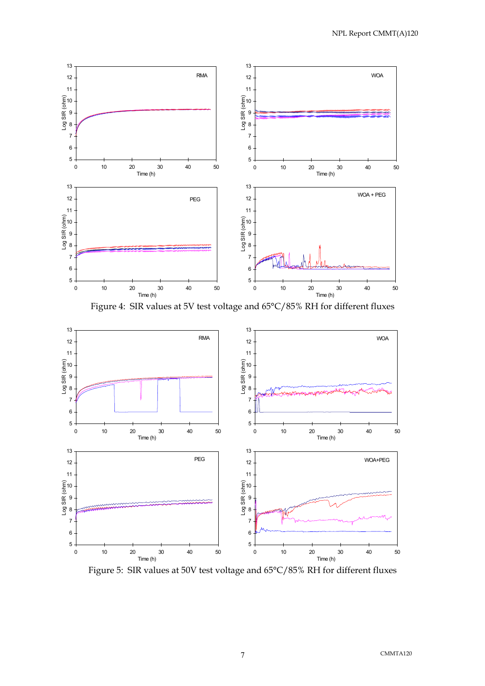

Figure 4: SIR values at 5V test voltage and 65°C/85% RH for different fluxes



Figure 5: SIR values at 50V test voltage and 65°C/85% RH for different fluxes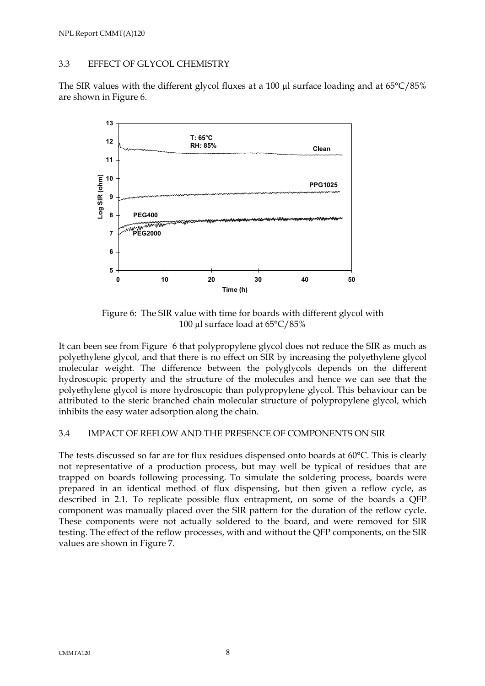#### 3.3 EFFECT OF GLYCOL CHEMISTRY

The SIR values with the different glycol fluxes at a 100  $\mu$ l surface loading and at 65 $\degree$ C/85% are shown in Figure 6.



Figure 6: The SIR value with time for boards with different glycol with 100 µl surface load at 65°C/85%

It can been see from Figure 6 that polypropylene glycol does not reduce the SIR as much as polyethylene glycol, and that there is no effect on SIR by increasing the polyethylene glycol molecular weight. The difference between the polyglycols depends on the different hydroscopic property and the structure of the molecules and hence we can see that the polyethylene glycol is more hydroscopic than polypropylene glycol. This behaviour can be attributed to the steric branched chain molecular structure of polypropylene glycol, which inhibits the easy water adsorption along the chain.

## 3.4 IMPACT OF REFLOW AND THE PRESENCE OF COMPONENTS ON SIR

The tests discussed so far are for flux residues dispensed onto boards at 60°C. This is clearly not representative of a production process, but may well be typical of residues that are trapped on boards following processing. To simulate the soldering process, boards were prepared in an identical method of flux dispensing, but then given a reflow cycle, as described in 2.1. To replicate possible flux entrapment, on some of the boards a QFP component was manually placed over the SIR pattern for the duration of the reflow cycle. These components were not actually soldered to the board, and were removed for SIR testing. The effect of the reflow processes, with and without the QFP components, on the SIR values are shown in Figure 7.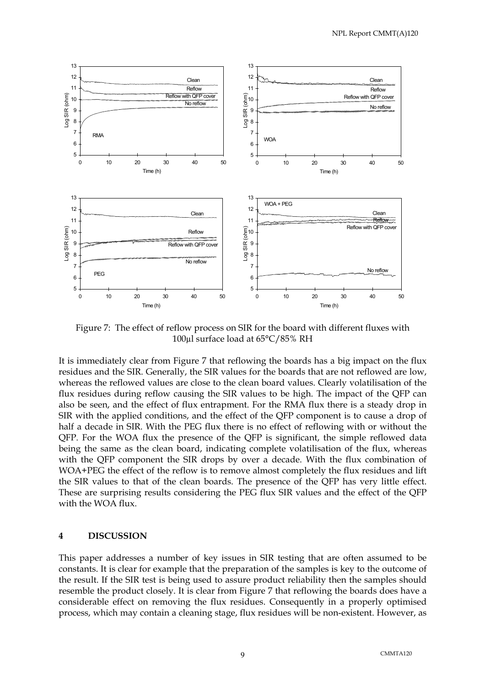

Figure 7: The effect of reflow process on SIR for the board with different fluxes with 100µl surface load at 65°C/85% RH

It is immediately clear from Figure 7 that reflowing the boards has a big impact on the flux residues and the SIR. Generally, the SIR values for the boards that are not reflowed are low, whereas the reflowed values are close to the clean board values. Clearly volatilisation of the flux residues during reflow causing the SIR values to be high. The impact of the QFP can also be seen, and the effect of flux entrapment. For the RMA flux there is a steady drop in SIR with the applied conditions, and the effect of the QFP component is to cause a drop of half a decade in SIR. With the PEG flux there is no effect of reflowing with or without the QFP. For the WOA flux the presence of the QFP is significant, the simple reflowed data being the same as the clean board, indicating complete volatilisation of the flux, whereas with the QFP component the SIR drops by over a decade. With the flux combination of WOA+PEG the effect of the reflow is to remove almost completely the flux residues and lift the SIR values to that of the clean boards. The presence of the QFP has very little effect. These are surprising results considering the PEG flux SIR values and the effect of the QFP with the WOA flux.

### **4 DISCUSSION**

This paper addresses a number of key issues in SIR testing that are often assumed to be constants. It is clear for example that the preparation of the samples is key to the outcome of the result. If the SIR test is being used to assure product reliability then the samples should resemble the product closely. It is clear from Figure 7 that reflowing the boards does have a considerable effect on removing the flux residues. Consequently in a properly optimised process, which may contain a cleaning stage, flux residues will be non-existent. However, as